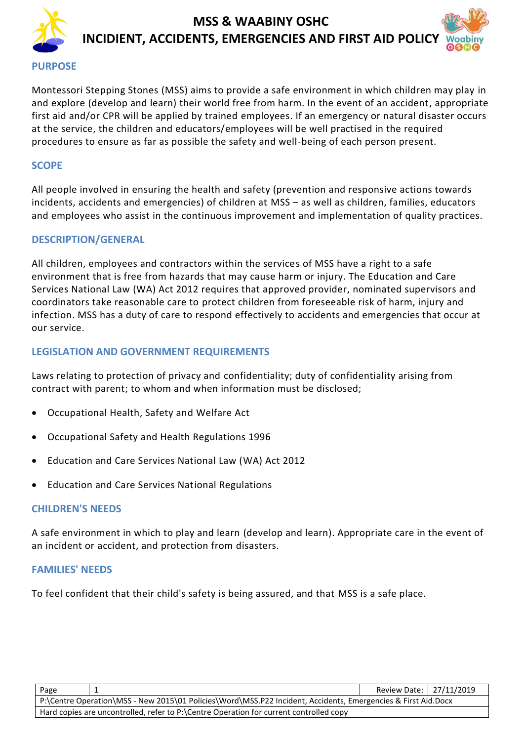



Montessori Stepping Stones (MSS) aims to provide a safe environment in which children may play in and explore (develop and learn) their world free from harm. In the event of an accident, appropriate first aid and/or CPR will be applied by trained employees. If an emergency or natural disaster occurs at the service, the children and educators/employees will be well practised in the required procedures to ensure as far as possible the safety and well-being of each person present.

#### **SCOPE**

All people involved in ensuring the health and safety (prevention and responsive actions towards incidents, accidents and emergencies) of children at MSS – as well as children, families, educators and employees who assist in the continuous improvement and implementation of quality practices.

#### **DESCRIPTION/GENERAL**

All children, employees and contractors within the services of MSS have a right to a safe environment that is free from hazards that may cause harm or injury. The Education and Care Services National Law (WA) Act 2012 requires that approved provider, nominated supervisors and coordinators take reasonable care to protect children from foreseeable risk of harm, injury and infection. MSS has a duty of care to respond effectively to accidents and emergencies that occur at our service.

#### **LEGISLATION AND GOVERNMENT REQUIREMENTS**

Laws relating to protection of privacy and confidentiality; duty of confidentiality arising from contract with parent; to whom and when information must be disclosed;

- [Occupational Health, Safety and Welfare Act](http://www.slp.wa.gov.au/legislation/agency.nsf/docep_main_mrtitle_4245_homepage.html)
- [Occupational Safety and Health Regulations 1996](http://www.slp.wa.gov.au/legislation/agency.nsf/docep_main_mrtitle_12516_homepage.html)
- Education and Care Services National Law (WA) Act 2012
- Education and Care Services National Regulations

#### **CHILDREN'S NEEDS**

A safe environment in which to play and learn (develop and learn). Appropriate care in the event of an incident or accident, and protection from disasters.

#### **FAMILIES' NEEDS**

To feel confident that their child's safety is being assured, and that MSS is a safe place.

| Page                                                                                                          |  | Review Date: 27/11/2019 |  |  |
|---------------------------------------------------------------------------------------------------------------|--|-------------------------|--|--|
| P:\Centre Operation\MSS - New 2015\01 Policies\Word\MSS.P22 Incident, Accidents, Emergencies & First Aid.Docx |  |                         |  |  |
| Hard copies are uncontrolled, refer to P:\Centre Operation for current controlled copy                        |  |                         |  |  |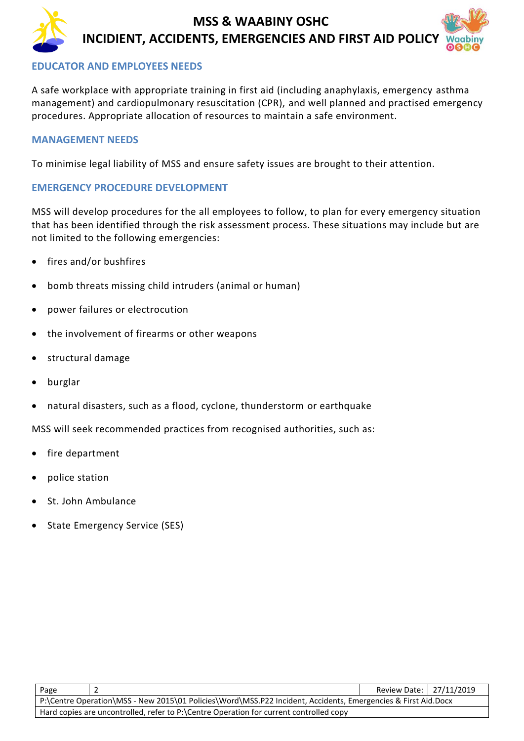#### **EDUCATOR AND EMPLOYEES NEEDS**

A safe workplace with appropriate training in first aid (including anaphylaxis, emergency asthma management) and cardiopulmonary resuscitation (CPR), and well planned and practised emergency procedures. Appropriate allocation of resources to maintain a safe environment.

#### **MANAGEMENT NEEDS**

To minimise legal liability of MSS and ensure safety issues are brought to their attention.

#### **EMERGENCY PROCEDURE DEVELOPMENT**

MSS will develop procedures for the all employees to follow, to plan for every emergency situation that has been identified through the risk assessment process. These situations may include but are not limited to the following emergencies:

- fires and/or bushfires
- bomb threats missing child intruders (animal or human)
- power failures or electrocution
- the involvement of firearms or other weapons
- structural damage
- burglar
- natural disasters, such as a flood, cyclone, thunderstorm or earthquake

MSS will seek recommended practices from recognised authorities, such as:

- fire department
- police station
- St. John Ambulance
- State Emergency Service (SES)

| Page                                                                                                          |  | Review Date:   27/11/2019 |  |  |
|---------------------------------------------------------------------------------------------------------------|--|---------------------------|--|--|
| P:\Centre Operation\MSS - New 2015\01 Policies\Word\MSS.P22 Incident, Accidents, Emergencies & First Aid.Docx |  |                           |  |  |
| Hard copies are uncontrolled, refer to P:\Centre Operation for current controlled copy                        |  |                           |  |  |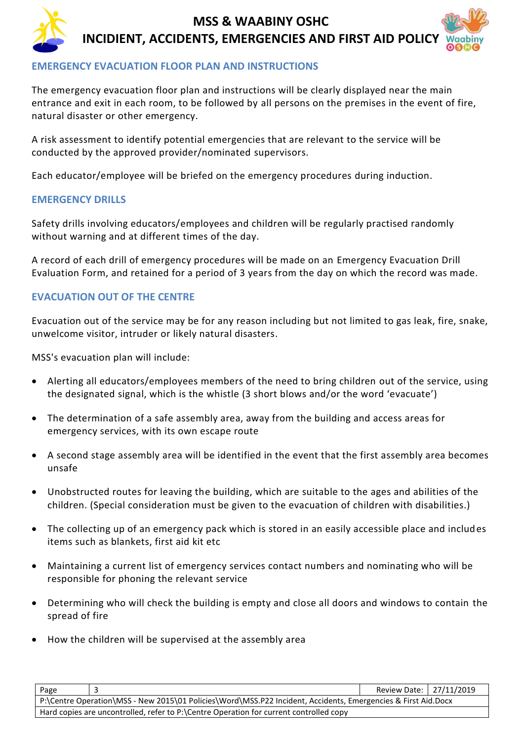#### **EMERGENCY EVACUATION FLOOR PLAN AND INSTRUCTIONS**

The emergency evacuation floor plan and instructions will be clearly displayed near the main entrance and exit in each room, to be followed by all persons on the premises in the event of fire, natural disaster or other emergency.

A risk assessment to identify potential emergencies that are relevant to the service will be conducted by the approved provider/nominated supervisors.

Each educator/employee will be briefed on the emergency procedures during induction.

#### **EMERGENCY DRILLS**

Safety drills involving educators/employees and children will be regularly practised randomly without warning and at different times of the day.

A record of each drill of emergency procedures will be made on an Emergency Evacuation Drill Evaluation Form, and retained for a period of 3 years from the day on which the record was made.

#### **EVACUATION OUT OF THE CENTRE**

Evacuation out of the service may be for any reason including but not limited to gas leak, fire, snake, unwelcome visitor, intruder or likely natural disasters.

MSS's evacuation plan will include:

- Alerting all educators/employees members of the need to bring children out of the service, using the designated signal, which is the whistle (3 short blows and/or the word 'evacuate')
- The determination of a safe assembly area, away from the building and access areas for emergency services, with its own escape route
- A second stage assembly area will be identified in the event that the first assembly area becomes unsafe
- Unobstructed routes for leaving the building, which are suitable to the ages and abilities of the children. (Special consideration must be given to the evacuation of children with disabilities.)
- The collecting up of an emergency pack which is stored in an easily accessible place and includes items such as blankets, first aid kit etc
- Maintaining a current list of emergency services contact numbers and nominating who will be responsible for phoning the relevant service
- Determining who will check the building is empty and close all doors and windows to contain the spread of fire
- How the children will be supervised at the assembly area

| Page                                                                                                          |  | Review Date: 27/11/2019 |  |  |
|---------------------------------------------------------------------------------------------------------------|--|-------------------------|--|--|
| P:\Centre Operation\MSS - New 2015\01 Policies\Word\MSS.P22 Incident, Accidents, Emergencies & First Aid.Docx |  |                         |  |  |
| Hard copies are uncontrolled, refer to P:\Centre Operation for current controlled copy                        |  |                         |  |  |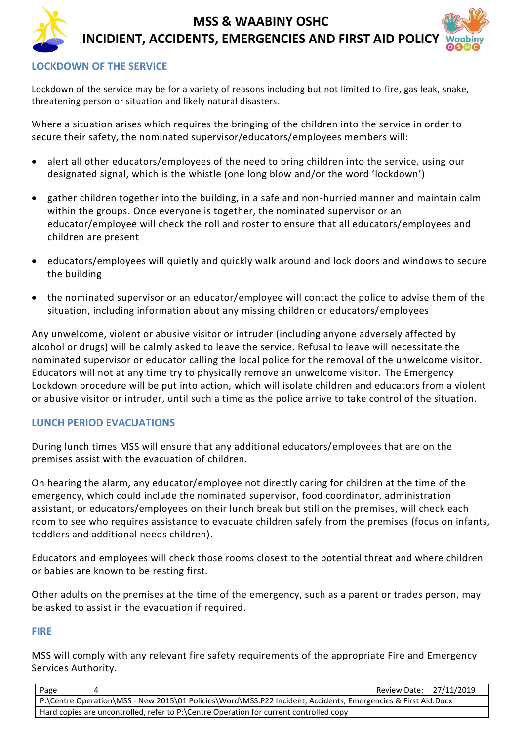#### **LOCKDOWN OF THE SERVICE**

Lockdown of the service may be for a variety of reasons including but not limited to fire, gas leak, snake, threatening person or situation and likely natural disasters.

Where a situation arises which requires the bringing of the children into the service in order to secure their safety, the nominated supervisor/educators/employees members will:

- alert all other educators/employees of the need to bring children into the service, using our designated signal, which is the whistle (one long blow and/or the word 'lockdown')
- gather children together into the building, in a safe and non-hurried manner and maintain calm within the groups. Once everyone is together, the nominated supervisor or an educator/employee will check the roll and roster to ensure that all educators/employees and children are present
- educators/employees will quietly and quickly walk around and lock doors and windows to secure the building
- the nominated supervisor or an educator/employee will contact the police to advise them of the situation, including information about any missing children or educators/employees

Any unwelcome, violent or abusive visitor or intruder (including anyone adversely affected by alcohol or drugs) will be calmly asked to leave the service. Refusal to leave will necessitate the nominated supervisor or educator calling the local police for the removal of the unwelcome visitor. Educators will not at any time try to physically remove an unwelcome visitor. The Emergency Lockdown procedure will be put into action, which will isolate children and educators from a violent or abusive visitor or intruder, until such a time as the police arrive to take control of the situation.

#### **LUNCH PERIOD EVACUATIONS**

During lunch times MSS will ensure that any additional educators/employees that are on the premises assist with the evacuation of children.

On hearing the alarm, any educator/employee not directly caring for children at the time of the emergency, which could include the nominated supervisor, food coordinator, administration assistant, or educators/employees on their lunch break but still on the premises, will check each room to see who requires assistance to evacuate children safely from the premises (focus on infants, toddlers and additional needs children).

Educators and employees will check those rooms closest to the potential threat and where children or babies are known to be resting first.

Other adults on the premises at the time of the emergency, such as a parent or trades person, may be asked to assist in the evacuation if required.

#### **FIRE**

MSS will comply with any relevant fire safety requirements of the appropriate Fire and Emergency Services Authority.

| Page                                                                                                          |  | Review Date: 27/11/2019 |  |
|---------------------------------------------------------------------------------------------------------------|--|-------------------------|--|
| P:\Centre Operation\MSS - New 2015\01 Policies\Word\MSS.P22 Incident, Accidents, Emergencies & First Aid.Docx |  |                         |  |
| Hard copies are uncontrolled, refer to P:\Centre Operation for current controlled copy                        |  |                         |  |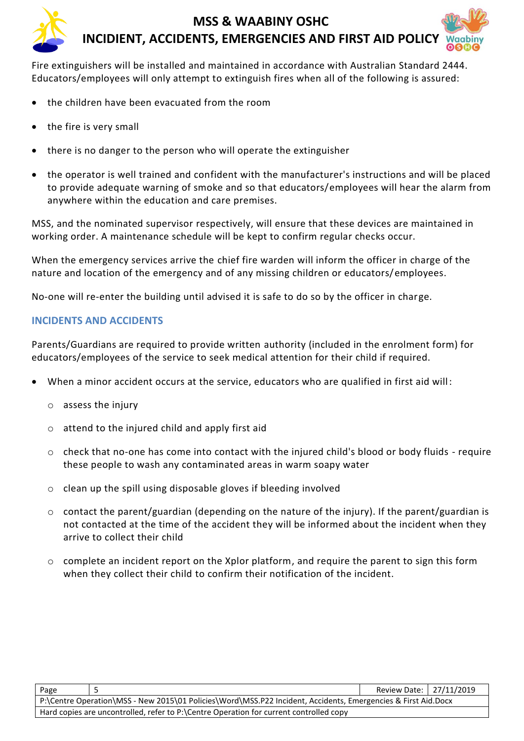

Fire extinguishers will be installed and maintained in accordance with Australian Standard 2444. Educators/employees will only attempt to extinguish fires when all of the following is assured:

- the children have been evacuated from the room
- the fire is very small
- there is no danger to the person who will operate the extinguisher
- the operator is well trained and confident with the manufacturer's instructions and will be placed to provide adequate warning of smoke and so that educators/employees will hear the alarm from anywhere within the education and care premises.

MSS, and the nominated supervisor respectively, will ensure that these devices are maintained in working order. A maintenance schedule will be kept to confirm regular checks occur.

When the emergency services arrive the chief fire warden will inform the officer in charge of the nature and location of the emergency and of any missing children or educators/employees.

No-one will re-enter the building until advised it is safe to do so by the officer in charge.

#### **INCIDENTS AND ACCIDENTS**

Parents/Guardians are required to provide written authority (included in the enrolment form) for educators/employees of the service to seek medical attention for their child if required.

- When a minor accident occurs at the service, educators who are qualified in first aid will:
	- o assess the injury
	- o attend to the injured child and apply first aid
	- o check that no-one has come into contact with the injured child's blood or body fluids require these people to wash any contaminated areas in warm soapy water
	- o clean up the spill using disposable gloves if bleeding involved
	- $\circ$  contact the parent/guardian (depending on the nature of the injury). If the parent/guardian is not contacted at the time of the accident they will be informed about the incident when they arrive to collect their child
	- $\circ$  complete an incident report on the Xplor platform, and require the parent to sign this form when they collect their child to confirm their notification of the incident.

| Page                                                                                                          |  | Review Date: 27/11/2019 |  |  |
|---------------------------------------------------------------------------------------------------------------|--|-------------------------|--|--|
| P:\Centre Operation\MSS - New 2015\01 Policies\Word\MSS.P22 Incident, Accidents, Emergencies & First Aid.Docx |  |                         |  |  |
| Hard copies are uncontrolled, refer to P:\Centre Operation for current controlled copy                        |  |                         |  |  |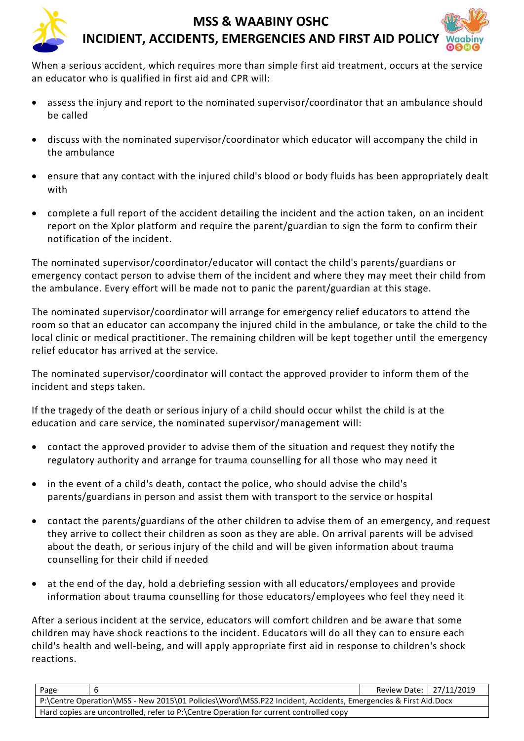When a serious accident, which requires more than simple first aid treatment, occurs at the service an educator who is qualified in first aid and CPR will:

- assess the injury and report to the nominated supervisor/coordinator that an ambulance should be called
- discuss with the nominated supervisor/coordinator which educator will accompany the child in the ambulance
- ensure that any contact with the injured child's blood or body fluids has been appropriately dealt with
- complete a full report of the accident detailing the incident and the action taken, on an incident report on the Xplor platform and require the parent/guardian to sign the form to confirm their notification of the incident.

The nominated supervisor/coordinator/educator will contact the child's parents/guardians or emergency contact person to advise them of the incident and where they may meet their child from the ambulance. Every effort will be made not to panic the parent/guardian at this stage.

The nominated supervisor/coordinator will arrange for emergency relief educators to attend the room so that an educator can accompany the injured child in the ambulance, or take the child to the local clinic or medical practitioner. The remaining children will be kept together until the emergency relief educator has arrived at the service.

The nominated supervisor/coordinator will contact the approved provider to inform them of the incident and steps taken.

If the tragedy of the death or serious injury of a child should occur whilst the child is at the education and care service, the nominated supervisor/management will:

- contact the approved provider to advise them of the situation and request they notify the regulatory authority and arrange for trauma counselling for all those who may need it
- in the event of a child's death, contact the police, who should advise the child's parents/guardians in person and assist them with transport to the service or hospital
- contact the parents/guardians of the other children to advise them of an emergency, and request they arrive to collect their children as soon as they are able. On arrival parents will be advised about the death, or serious injury of the child and will be given information about trauma counselling for their child if needed
- at the end of the day, hold a debriefing session with all educators/employees and provide information about trauma counselling for those educators/employees who feel they need it

After a serious incident at the service, educators will comfort children and be aware that some children may have shock reactions to the incident. Educators will do all they can to ensure each child's health and well-being, and will apply appropriate first aid in response to children's shock reactions.

| Page                                                                                                          |  | Review Date:   27/11/2019 |  |  |
|---------------------------------------------------------------------------------------------------------------|--|---------------------------|--|--|
| P:\Centre Operation\MSS - New 2015\01 Policies\Word\MSS.P22 Incident, Accidents, Emergencies & First Aid.Docx |  |                           |  |  |
| Hard copies are uncontrolled, refer to P:\Centre Operation for current controlled copy                        |  |                           |  |  |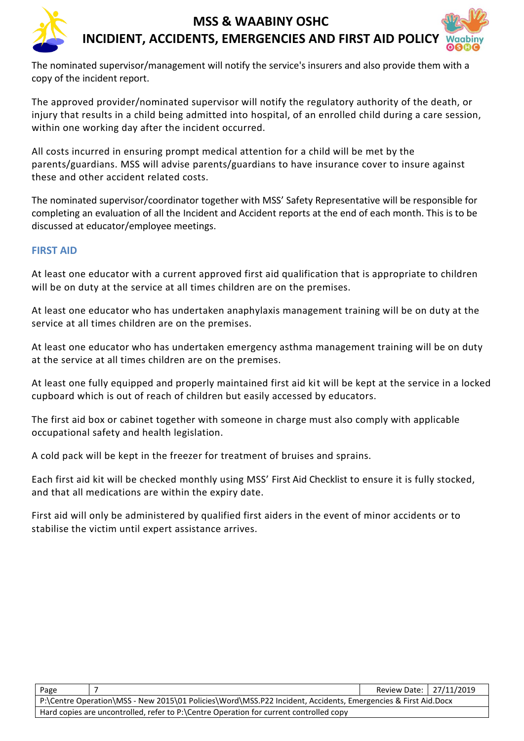

The nominated supervisor/management will notify the service's insurers and also provide them with a copy of the incident report.

The approved provider/nominated supervisor will notify the regulatory authority of the death, or injury that results in a child being admitted into hospital, of an enrolled child during a care session, within one working day after the incident occurred.

All costs incurred in ensuring prompt medical attention for a child will be met by the parents/guardians. MSS will advise parents/guardians to have insurance cover to insure against these and other accident related costs.

The nominated supervisor/coordinator together with MSS' Safety Representative will be responsible for completing an evaluation of all the Incident and Accident reports at the end of each month. This is to be discussed at educator/employee meetings.

#### **FIRST AID**

At least one educator with a current approved first aid qualification that is appropriate to children will be on duty at the service at all times children are on the premises.

At least one educator who has undertaken anaphylaxis management training will be on duty at the service at all times children are on the premises.

At least one educator who has undertaken emergency asthma management training will be on duty at the service at all times children are on the premises.

At least one fully equipped and properly maintained first aid kit will be kept at the service in a locked cupboard which is out of reach of children but easily accessed by educators.

The first aid box or cabinet together with someone in charge must also comply with applicable occupational safety and health legislation.

A cold pack will be kept in the freezer for treatment of bruises and sprains.

Each first aid kit will be checked monthly using MSS' First Aid Checklist to ensure it is fully stocked, and that all medications are within the expiry date.

First aid will only be administered by qualified first aiders in the event of minor accidents or to stabilise the victim until expert assistance arrives.

| Page                                                                                                          |  | Review Date: 27/11/2019 |  |  |
|---------------------------------------------------------------------------------------------------------------|--|-------------------------|--|--|
| P:\Centre Operation\MSS - New 2015\01 Policies\Word\MSS.P22 Incident, Accidents, Emergencies & First Aid.Docx |  |                         |  |  |
| Hard copies are uncontrolled, refer to P:\Centre Operation for current controlled copy                        |  |                         |  |  |